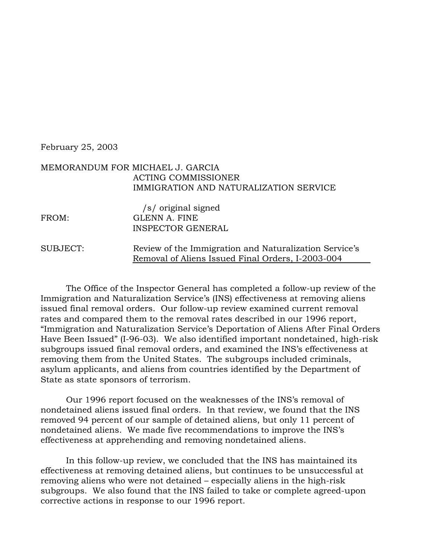February 25, 2003

## MEMORANDUM FOR MICHAEL J. GARCIA ACTING COMMISSIONER IMMIGRATION AND NATURALIZATION SERVICE

| FROM:    | /s/ original signed<br>GLENN A. FINE<br><b>INSPECTOR GENERAL</b>                                            |
|----------|-------------------------------------------------------------------------------------------------------------|
| SUBJECT: | Review of the Immigration and Naturalization Service's<br>Removal of Aliens Issued Final Orders, I-2003-004 |

The Office of the Inspector General has completed a follow-up review of the Immigration and Naturalization Service's (INS) effectiveness at removing aliens issued final removal orders. Our follow-up review examined current removal rates and compared them to the removal rates described in our 1996 report, "Immigration and Naturalization Service's Deportation of Aliens After Final Orders Have Been Issued" (I-96-03). We also identified important nondetained, high-risk subgroups issued final removal orders, and examined the INS's effectiveness at removing them from the United States. The subgroups included criminals, asylum applicants, and aliens from countries identified by the Department of State as state sponsors of terrorism.

Our 1996 report focused on the weaknesses of the INS's removal of nondetained aliens issued final orders. In that review, we found that the INS removed 94 percent of our sample of detained aliens, but only 11 percent of nondetained aliens. We made five recommendations to improve the INS's effectiveness at apprehending and removing nondetained aliens.

In this follow-up review, we concluded that the INS has maintained its effectiveness at removing detained aliens, but continues to be unsuccessful at removing aliens who were not detained – especially aliens in the high-risk subgroups. We also found that the INS failed to take or complete agreed-upon corrective actions in response to our 1996 report.